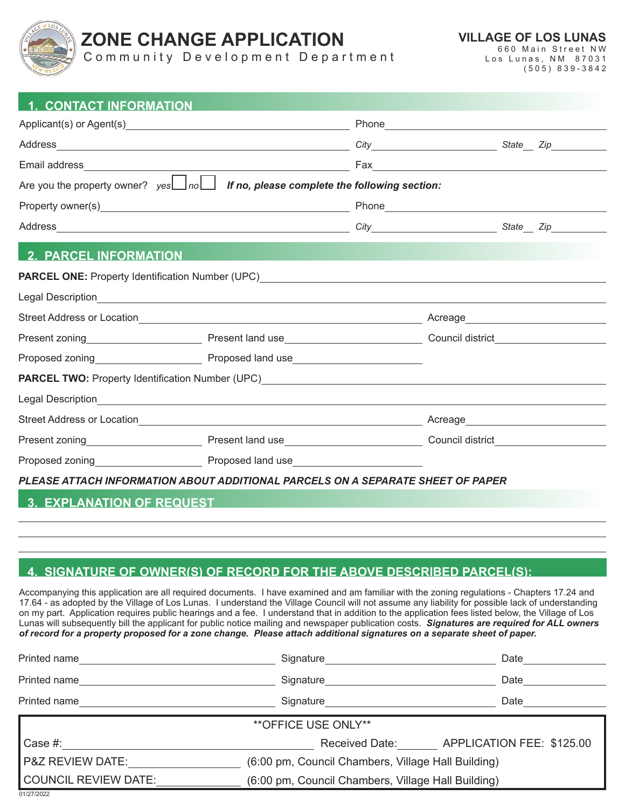

# **ZONE CHANGE APPLICATION**

Community Development Department

**VILLAGE OF LOS LUNAS**

660 Main Street NW Los Lunas, NM 87031 (505) 839-3842

| . CONTACT INFORMATION                                                                        |  |  |                                 |  |  |  |
|----------------------------------------------------------------------------------------------|--|--|---------------------------------|--|--|--|
|                                                                                              |  |  |                                 |  |  |  |
|                                                                                              |  |  |                                 |  |  |  |
|                                                                                              |  |  |                                 |  |  |  |
| Are you the property owner? $yes \Box no \Box$ If no, please complete the following section: |  |  |                                 |  |  |  |
|                                                                                              |  |  |                                 |  |  |  |
|                                                                                              |  |  |                                 |  |  |  |
| <b>2. PARCEL INFORMATION</b>                                                                 |  |  |                                 |  |  |  |
|                                                                                              |  |  |                                 |  |  |  |
|                                                                                              |  |  |                                 |  |  |  |
|                                                                                              |  |  |                                 |  |  |  |
|                                                                                              |  |  |                                 |  |  |  |
|                                                                                              |  |  |                                 |  |  |  |
| PARCEL TWO: Property Identification Number (UPC)_________________________________            |  |  |                                 |  |  |  |
|                                                                                              |  |  |                                 |  |  |  |
|                                                                                              |  |  | Acreage________________________ |  |  |  |
|                                                                                              |  |  |                                 |  |  |  |
|                                                                                              |  |  |                                 |  |  |  |
| PLEASE ATTACH INFORMATION ABOUT ADDITIONAL PARCELS ON A SEPARATE SHEET OF PAPER              |  |  |                                 |  |  |  |
|                                                                                              |  |  |                                 |  |  |  |

## **3. EXPLANATION OF REQUEST**

### **4. SIGNATURE OF OWNER(S) OF RECORD FOR THE ABOVE DESCRIBED PARCEL(S):**

Accompanying this application are all required documents. I have examined and am familiar with the zoning regulations - Chapters 17.24 and 17.64 - as adopted by the Village of Los Lunas. I understand the Village Council will not assume any liability for possible lack of understanding on my part. Application requires public hearings and a fee. I understand that in addition to the application fees listed below, the Village of Los Lunas will subsequently bill the applicant for public notice mailing and newspaper publication costs. *Signatures are required for ALL owners of record for a property proposed for a zone change. Please attach additional signatures on a separate sheet of paper.*

| Printed name                                                               | Signature                                          | Date                                     |  |  |  |
|----------------------------------------------------------------------------|----------------------------------------------------|------------------------------------------|--|--|--|
| Printed name                                                               | Signature                                          | Date                                     |  |  |  |
| Printed name                                                               | Signature                                          | Date                                     |  |  |  |
| <b>**OFFICE USE ONLY**</b>                                                 |                                                    |                                          |  |  |  |
| Case #:                                                                    |                                                    | Received Date: APPLICATION FEE: \$125.00 |  |  |  |
| P&Z REVIEW DATE:                                                           | (6:00 pm, Council Chambers, Village Hall Building) |                                          |  |  |  |
| COUNCIL REVIEW DATE:<br>(6:00 pm, Council Chambers, Village Hall Building) |                                                    |                                          |  |  |  |

01/27/2022